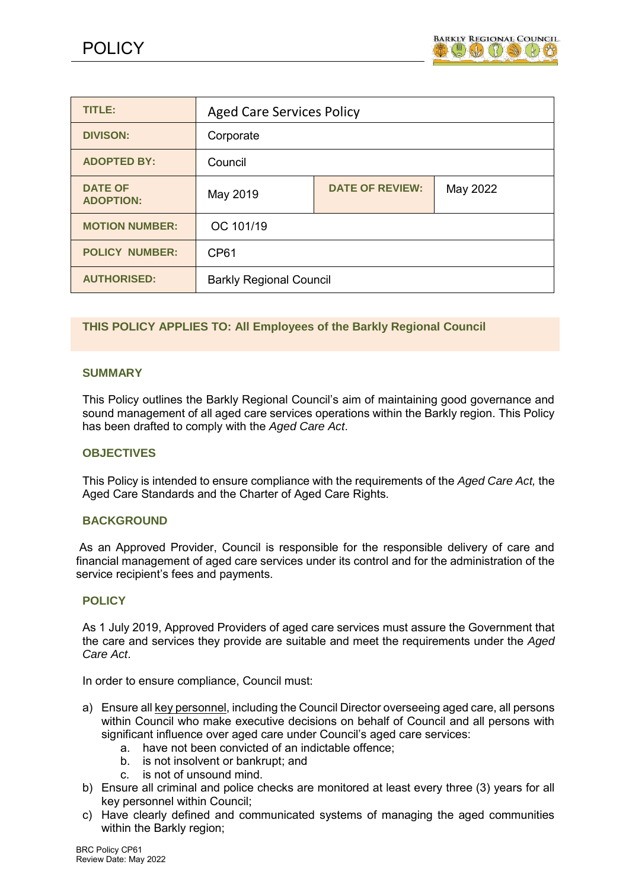

| <b>TITLE:</b>                      | <b>Aged Care Services Policy</b> |                        |          |
|------------------------------------|----------------------------------|------------------------|----------|
| <b>DIVISON:</b>                    | Corporate                        |                        |          |
| <b>ADOPTED BY:</b>                 | Council                          |                        |          |
| <b>DATE OF</b><br><b>ADOPTION:</b> | May 2019                         | <b>DATE OF REVIEW:</b> | May 2022 |
| <b>MOTION NUMBER:</b>              | OC 101/19                        |                        |          |
| <b>POLICY NUMBER:</b>              | CP <sub>61</sub>                 |                        |          |
| <b>AUTHORISED:</b>                 | <b>Barkly Regional Council</b>   |                        |          |

# **THIS POLICY APPLIES TO: All Employees of the Barkly Regional Council**

# **SUMMARY**

This Policy outlines the Barkly Regional Council's aim of maintaining good governance and sound management of all aged care services operations within the Barkly region. This Policy has been drafted to comply with the *Aged Care Act*.

# **OBJECTIVES**

This Policy is intended to ensure compliance with the requirements of the *Aged Care Act,* the Aged Care Standards and the Charter of Aged Care Rights.

# **BACKGROUND**

As an Approved Provider, Council is responsible for the responsible delivery of care and financial management of aged care services under its control and for the administration of the service recipient's fees and payments.

# **POLICY**

As 1 July 2019, Approved Providers of aged care services must assure the Government that the care and services they provide are suitable and meet the requirements under the *Aged Care Act*.

In order to ensure compliance, Council must:

- a) Ensure all key personnel, including the Council Director overseeing aged care, all persons within Council who make executive decisions on behalf of Council and all persons with significant influence over aged care under Council's aged care services:
	- a. have not been convicted of an indictable offence;
	- b. is not insolvent or bankrupt; and
	- c. is not of unsound mind.
- b) Ensure all criminal and police checks are monitored at least every three (3) years for all key personnel within Council;
- c) Have clearly defined and communicated systems of managing the aged communities within the Barkly region;